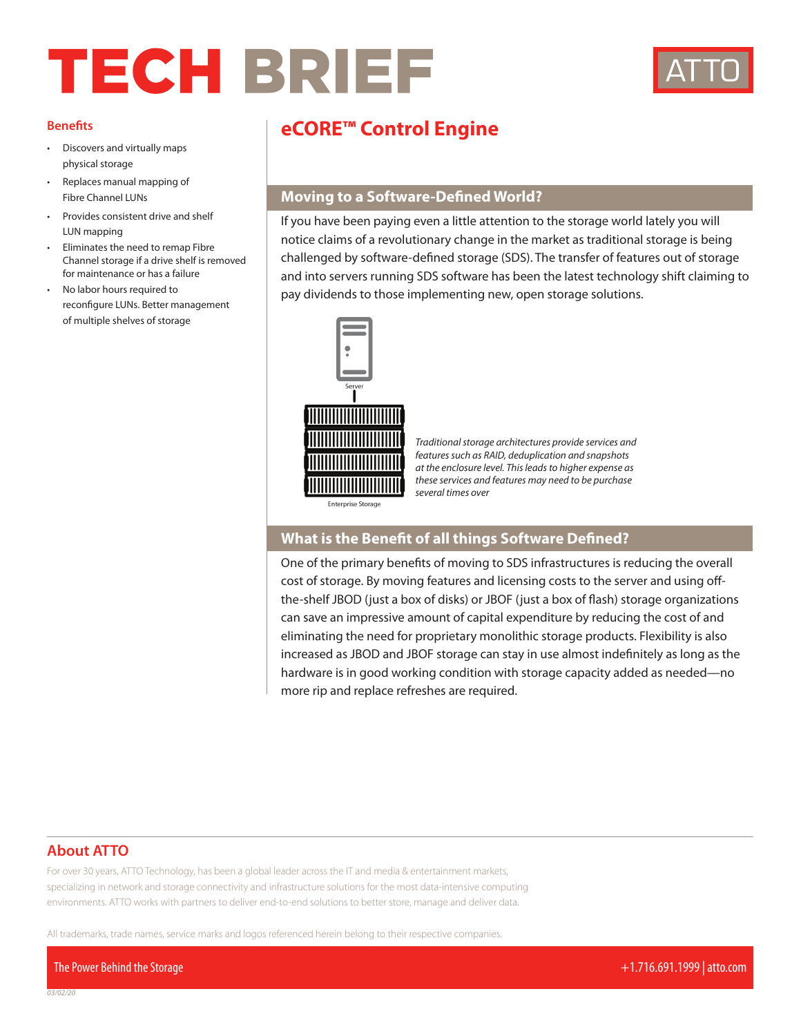# TECH BRIEF



#### **Benefits**

- Discovers and virtually maps physical storage
- Replaces manual mapping of Fibre Channel LUNs
- Provides consistent drive and shelf LUN mapping
- Eliminates the need to remap Fibre Channel storage if a drive shelf is removed for maintenance or has a failure
- No labor hours required to reconfigure LUNs. Better management of multiple shelves of storage

# **eCORE™ Control Engine**

## **Moving to a Software-Defined World?**

If you have been paying even a little attention to the storage world lately you will notice claims of a revolutionary change in the market as traditional storage is being challenged by software-defined storage (SDS). The transfer of features out of storage and into servers running SDS software has been the latest technology shift claiming to pay dividends to those implementing new, open storage solutions.



*Traditional storage architectures provide services and features such as RAID, deduplication and snapshots at the enclosure level. This leads to higher expense as these services and features may need to be purchase several times over*

Enterprise Storage

### **What is the Benefit of all things Software Defined?**

One of the primary benefits of moving to SDS infrastructures is reducing the overall cost of storage. By moving features and licensing costs to the server and using offthe-shelf JBOD (just a box of disks) or JBOF (just a box of flash) storage organizations can save an impressive amount of capital expenditure by reducing the cost of and eliminating the need for proprietary monolithic storage products. Flexibility is also increased as JBOD and JBOF storage can stay in use almost indefinitely as long as the hardware is in good working condition with storage capacity added as needed—no more rip and replace refreshes are required.

#### **About ATTO**

For over 30 years, ATTO Technology, has been a global leader across the IT and media & entertainment markets, specializing in network and storage connectivity and infrastructure solutions for the most data-intensive computing environments. ATTO works with partners to deliver end-to-end solutions to better store, manage and deliver data.

All trademarks, trade names, service marks and logos referenced herein belong to their respective companies.